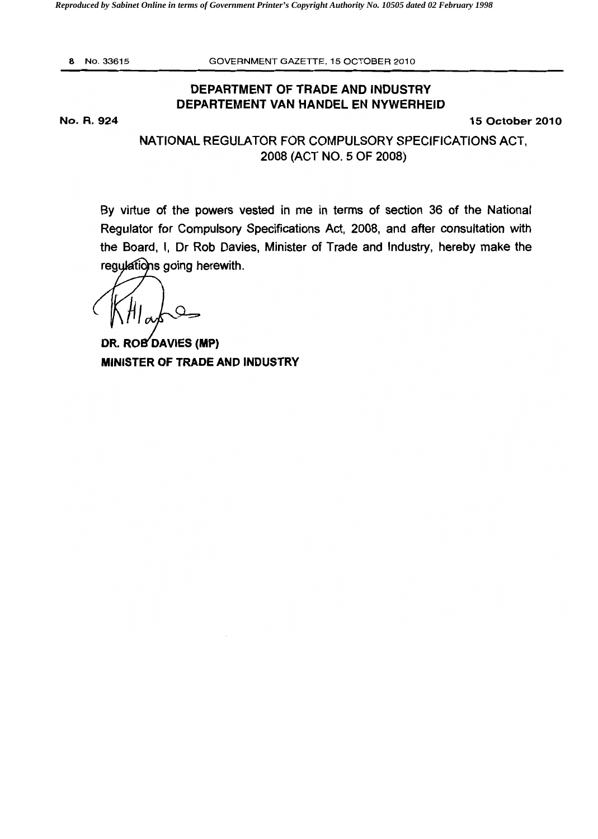*Reproduced by Sabinet Online in terms of Government Printer's Copyright Authority No. 10505 dated 02 February 1998* 

8 No. 33615 GOVERNMENT GAZETTE, 15 OCTOBER 2010

## DEPARTMENT OF TRADE AND INDUSTRY DEPARTEMENT VAN HANDEL EN NYWERHEID

No. R. 924 15 October 2010

NATIONAL REGULATOR FOR COMPULSORY SPECIFICATIONS ACT, 2008 (ACT NO.5 OF 2008)

By virtue of the powers vested in me in terms of section 36 of the National Regulator for Compulsory Specifications Act, 2008, and after consultation with the Board. I, Dr Rob Davies, Minister of Trade and Industry, hereby make the regulations going herewith.

 $\Omega$ 

DR. ROB DAVIES (MP) MINISTER OF TRADE AND INDUSTRY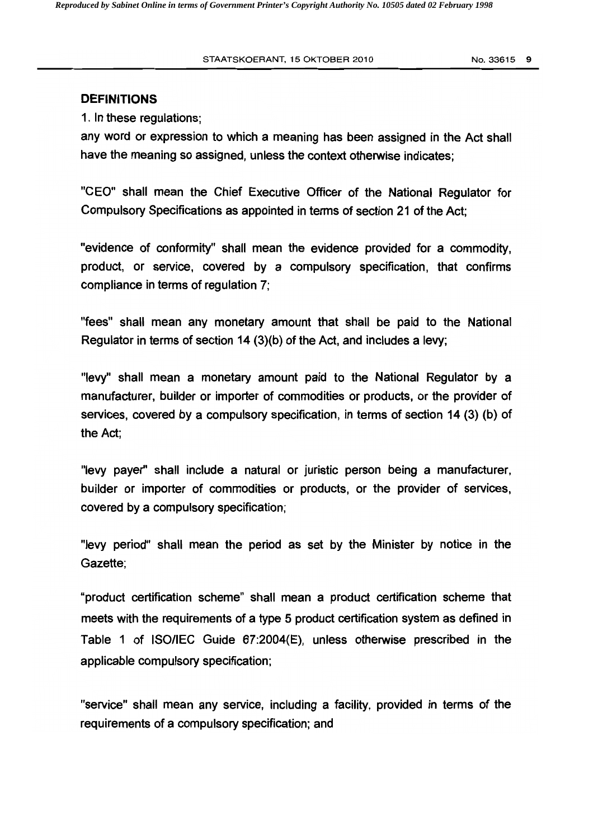#### **DEFINITIONS**

1. In these regulations;

any word or expression to which a meaning has been assigned in the Act shall have the meaning so assigned, unless the context otherwise indicates;

"CEO" shall mean the Chief Executive Officer of the National Regulator for Compulsory Specifications as appointed in terms of section 21 of the Act:

"evidence of conformity" shall mean the evidence provided for a commodity, product, or service, covered by a compulsory specification, that confirms compliance in terms of regulation 7;

"fees" shall mean any monetary amount that shall be paid to the National Regulator in terms of section 14 (3)(b) of the Act, and includes a levy;

"levy" shall mean a monetary amount paid to the National Regulator by a manufacturer, builder or importer of commodities or products, or the provider of services, covered by a compulsory specification, in terms of section 14 (3) (b) of the Act;

"levy payer" shall include a natural or juristic person being a manufacturer, builder or importer of commodities or products, or the provider of services, covered by a compulsory specification;

"levy period" shall mean the period as set by the Minister by notice in the Gazette;

"product certification scheme" shall mean a product certification scheme that meets with the requirements of a type 5 product certification system as defined in Table 1 of ISOIIEC Guide 67:2004(E), unless otherwise prescribed in the applicable compulsory specification;

"service" shall mean any service, including a facility, provided in terms of the requirements of a compulsory specification; and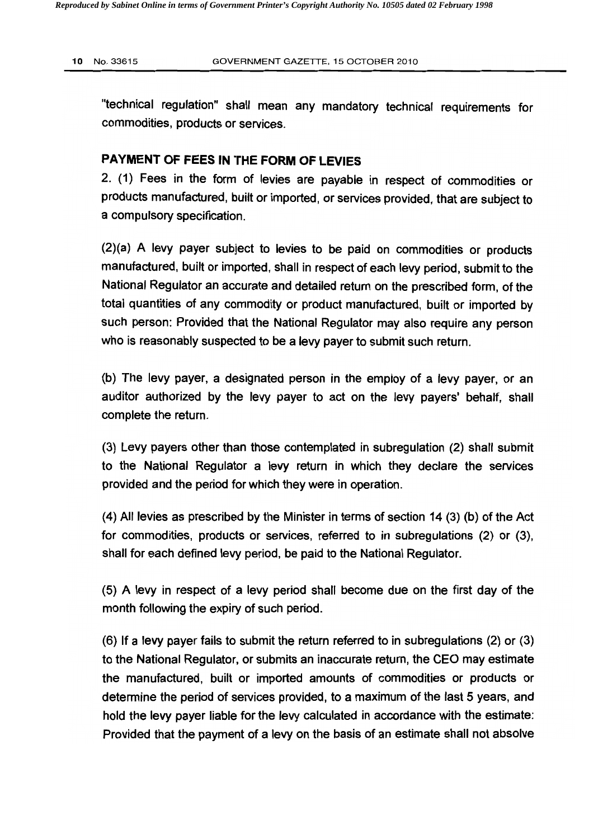"technical regulation" shall mean any mandatory technical requirements for commodities, products or services.

### **PAYMENT OF FEES IN THE FORM OF LEVIES**

2. (1) Fees in the form of levies are payable in respect of commodities or products manufactured, built or imported, or services provided, that are subject to a compulsory specification.

(2)(a) A levy payer subject to levies to be paid on commodities or products manufactured, built or imported, shall in respect of each levy period, submit to the National Regulator an accurate and detailed return on the prescribed form, of the total quantities of any commodity or product manufactured, built or imported by such person: Provided that the National Regulator may also require any person who is reasonably suspected to be a levy payer to submit such return.

(b) The levy payer, a designated person in the employ of a levy payer, or an auditor authorized by the levy payer to act on the levy payers' behalf, shall complete the return.

(3) Levy payers other than those contemplated in subregulation (2) shall submit to the National Regulator a levy return in which they declare the services provided and the period for which they were in operation.

(4) All levies as prescribed by the Minister in terms of section 14 (3) (b) of the Act for commodities, products or services, referred to in subregulations (2) or (3), shall for each defined levy period, be paid to the National Regulator.

(5) A levy in respect of a levy period shall become due on the first day of the month following the expiry of such period.

(6) If a levy payer fails to submit the return referred to in subregulations (2) or (3) to the National Regulator, or submits an inaccurate return, the CEO may estimate the manufactured, built or imported amounts of commodities or products or determine the period of services provided, to a maximum of the last 5 years, and hold the levy payer liable for the levy calculated in accordance with the estimate: Provided that the payment of a levy on the basis of an estimate shall not absolve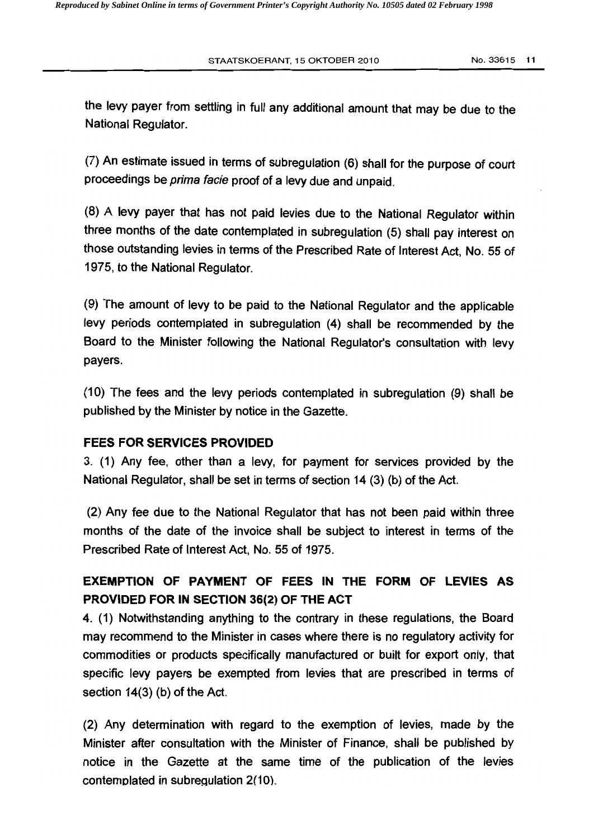the levy payer from settling in full any additional amount that may be due to the National Regulator.

(7) An estimate issued in terms of subregulation (6) shall for the purpose of court proceedings be prima facie proof of a levy due and unpaid.

(8) A levy payer that has not paid levies due to the National Regulator within three months of the date contemplated in subregulation (5) shall pay interest on those outstanding levies in terms of the Prescribed Rate of Interest Act. No. 55 of 1975, to the National Regulator.

(9) The amount of levy to be paid to the National Regulator and the applicable levy periods contemplated in subregulation (4) shall be recommended by the Board to the Minister following the National Regulator's consultation with levy payers.

(10) The fees and the levy periods contemplated in subregulation (9) shall be published by the Minister by notice in the Gazette.

### FEES FOR SERVICES PROVIDED

3. (1) Any fee, other than a levy. for payment for services provided by the National Regulator, shall be set in terms of section 14 (3) (b) of the Act.

(2) Any fee due to the National Regulator that has not been paid within three months of the date of the invoice shall be subject to interest in terms of the Prescribed Rate of Interest Act, No. 55 of 1975.

## EXEMPTION OF PAYMENT OF FEES IN THE FORM OF LEVIES AS PROVIDED FOR IN SECTION 36(2) OF THE ACT

4. (1) Notwithstanding anything to the contrary in these regulations, the Board may recommend to the Minister in cases where there is no regulatory activity for commodities or products specifically manufactured or built for export only, that specific levy payers be exempted from levies that are prescribed in terms of section 14(3) (b) of the Act.

(2) Any determination with regard to the exemption of levies, made by the Minister after consultation with the Minister of Finance, shall be published by notice in the Gazette at the same time of the publication of the levies contemplated in subregulation 2(10).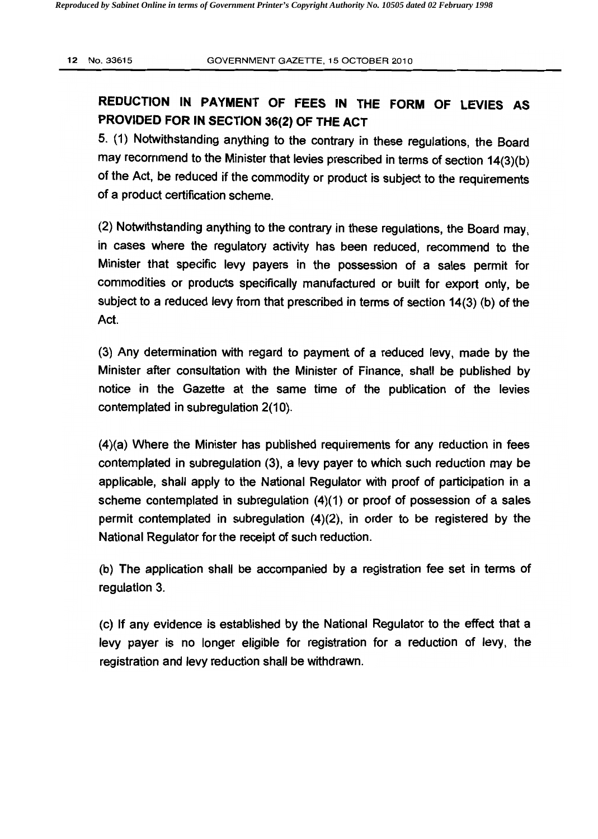# REDUCTION IN PAYMENT OF FEES IN THE FORM OF LEVIES AS PROVIDED FOR IN SECTION 36(2) OF THE ACT

5. (1) Notwithstanding anything to the contrary in these regulations, the Board may recommend to the Minister that levies prescribed in terms of section 14(3)(b) of the Act, be reduced if the commodity or product is subject to the requirements of a product certification scheme.

(2) Notwithstanding anything to the contrary in these regulations, the Board may, in cases where the regulatory activity has been reduced, recommend to the Minister that specific levy payers in the possession of a sales permit for commodities or products specifically manufactured or built for export only, be subject to a reduced levy from that prescribed in terms of section 14(3) (b) of the Act.

(3) Any determination with regard to payment of a reduced levy, made by the Minister after consultation with the Minister of Finance, shall be published by notice in the Gazette at the same time of the publication of the levies contemplated in subregulation 2(10).

(4)(a) Where the Minister has published requirements for any reduction in fees contemplated in subregulation (3), a levy payer to which such reduction may be applicable, shall apply to the National Regulator with proof of participation in a scheme contemplated in subregulation (4)(1) or proof of possession of a sales permit contemplated in subregulation (4)(2), in order to be registered by the National Regulator for the receipt of such reduction.

(b) The application shall be accompanied by a registration fee set in terms of regulation 3.

(c) If any evidence is established by the National Regulator to the effect that a levy payer is no longer eligible for registration for a reduction of levy, the registration and levy reduction shall be withdrawn.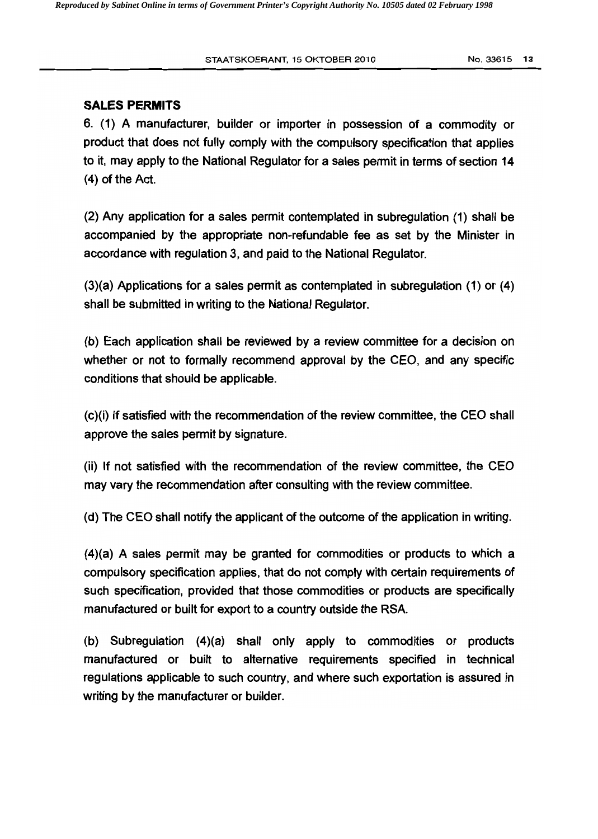### **SALES PERMITS**

6. (1) A manufacturer, builder or importer in possession of a commodity or product that does not fully comply with the compulsory specification that applies to it, may apply to the National Regulator for a sales pennit in terms of section 14  $(4)$  of the Act.

(2) Any application for a sales permit contemplated in subregulation (1) shall be accompanied by the appropriate non-refundable fee as set by the Minister in accordance with regulation 3, and paid to the National Regulator.

(3)(a) Applications for a sales permit as contemplated in subregulation (1) or (4) shall be submitted in writing to the National Regulator.

(b) Each application shall be reviewed by a review committee for a decision on whether or not to formally recommend approval by the CEO, and any specific conditions that should be applicable.

(c)(i) If satisfied with the recommendation of the review committee, the CEO shall approve the sales permit by signature.

(ii) If not satisfied with the recommendation of the review committee, the CEO may vary the recommendation after consulting with the review committee.

(d) The CEO shall notify the applicant of the outcome of the application in writing.

(4)(a) A sales permit may be granted for commodities or products to which a compulsory specification applies, that do not comply with certain requirements of such specification, provided that those commodities or products are specifically manufactured or built for export to a country outside the RSA.

(b) Subregulation (4)(a) shall only apply to commodities or products manufactured or built to alternative requirements specified in technical regulations applicable to such country. and where such exportation is assured in writing by the manufacturer or builder.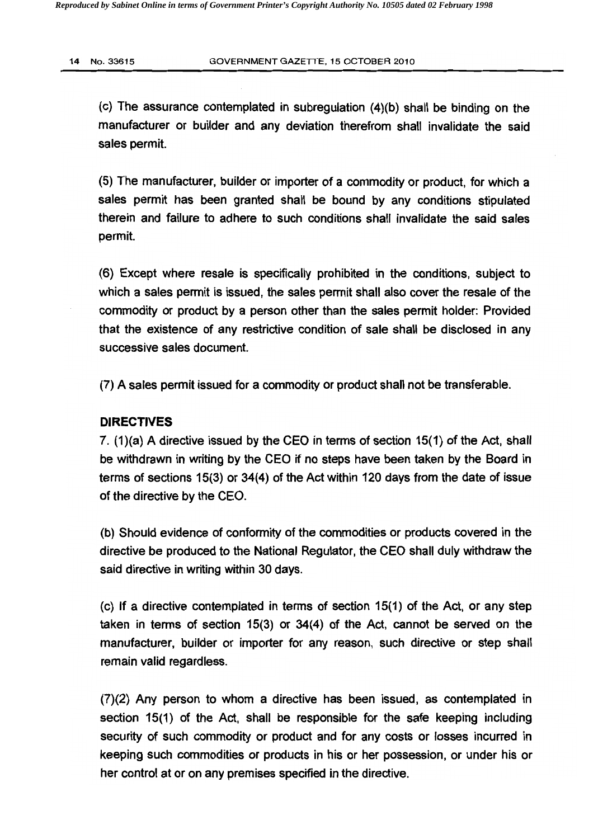(c) The assurance contemplated in subregulation (4)(b) shall be binding on the manufacturer or builder and any deviation therefrom shall invalidate the said sales permit.

(5) The manufacturer, builder or importer of a commodity or product, for which a sales permit has been granted shall be bound by any conditions stipulated therein and failure to adhere to such conditions shall invalidate the said sales permit.

(6) Except where resale is specifically prohibited in the conditions, subject to which a sales permit is issued, the sales permit shall also cover the resale of the commodity or product by a person other than the sales permit holder: Provided that the existence of any restrictive condition of sale shall be disclosed in any successive sales document.

(7) A sales permit issued for a commodity or product shall not be transferable.

#### DIRECTIVES

7. (1)(a) A directive issued by the CEO in terms of section 15(1) of the Act, shall be withdrawn in writing by the CEO if no steps have been taken by the Board in terms of sections 15(3) or 34(4) of the Act within 120 days from the date of issue of the directive by the CEO.

(b) Should evidence of conformity of the commodities or products covered in the directive be produced to the National Regulator, the CEO shall duly withdraw the said directive in writing within 30 days.

(c) If a directive contemplated in terms of section 15(1) of the Act. or any step taken in terms of section 15(3) or 34(4) of the Act. cannot be served on the manufacturer, builder or importer for any reason, such directive or step shall remain valid regardless.

(7)(2) Any person to whom a directive has been issued, as contemplated in section 15(1) of the Act, shall be responsible for the safe keeping including security of such commodity or product and for any costs or losses incurred in keeping such commodities or products in his or her possession, or under his or her control at or on any premises specified in the directive.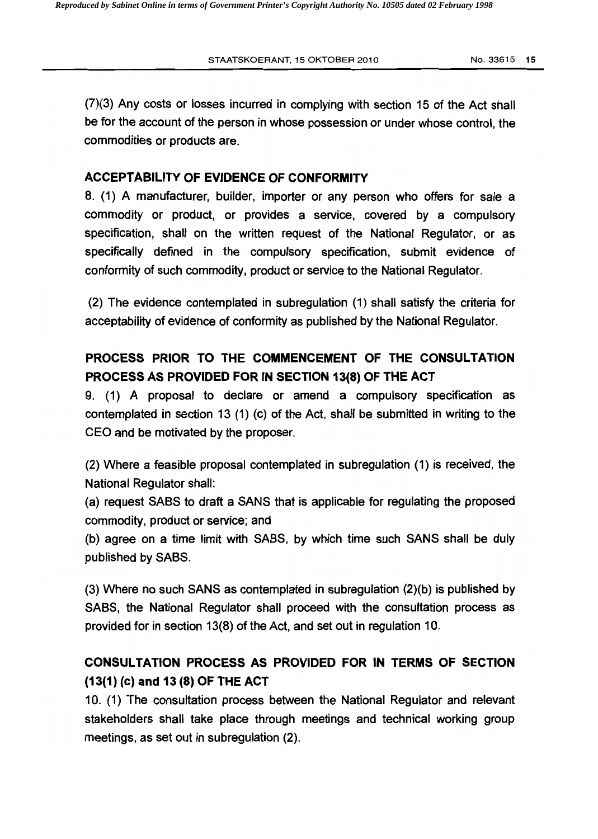(7)(3) Any costs or losses incurred in complying with section 15 of the Act shall be for the account of the person in whose possession or under whose control, the commodities or products are.

## ACCEPTABILITY OF EVIDENCE OF CONFORMITY

8. (1) A manufacturer, builder, importer or any person who offers for sale a commodity or product, or provides a service, covered by a compulsory specification, shall on the written request of the National Regulator, or as specifically defined in the compulsory specification, submit evidence of conformity of such commodity, product or service to the National Regulator.

(2) The evidence contemplated in subregulation (1) shall satisfy the criteria for acceptability of evidence of conformity as published by the National Regulator.

## PROCESS PRIOR TO THE COMMENCEMENT OF THE CONSULTATION PROCESS AS PROVIDED FOR IN SECTION 13(8) OF THE ACT

9. (1) A proposal to declare or amend a compulsory specification as contemplated in section 13 (1) (c) of the Act, shall be submitted in writing to the CEO and be motivated by the proposer.

(2) Where a feasible proposal contemplated in subregulation (1) is received, the National Regulator shall:

(a) request SABS to draft a SANS that is applicable for regulating the proposed commodity, product or service; and

(b) agree on a time limit with SABS, by which time such SANS shall be duly published by SABS.

(3) Where no such SANS as contemplated in subregulation (2)(b) is published by SABS, the National Regulator shall proceed with the consultation process as provided for in section 13(8) of the Act, and set out in regulation 10.

## CONSULTATION PROCESS AS PROVIDED FOR IN TERMS OF SECTION (13(1) (c) and 13 (8) OF THE ACT

10. (1) The consultation process between the National Regulator and relevant stakeholders shall take place through meetings and technical working group meetings, as set out in subregulation (2).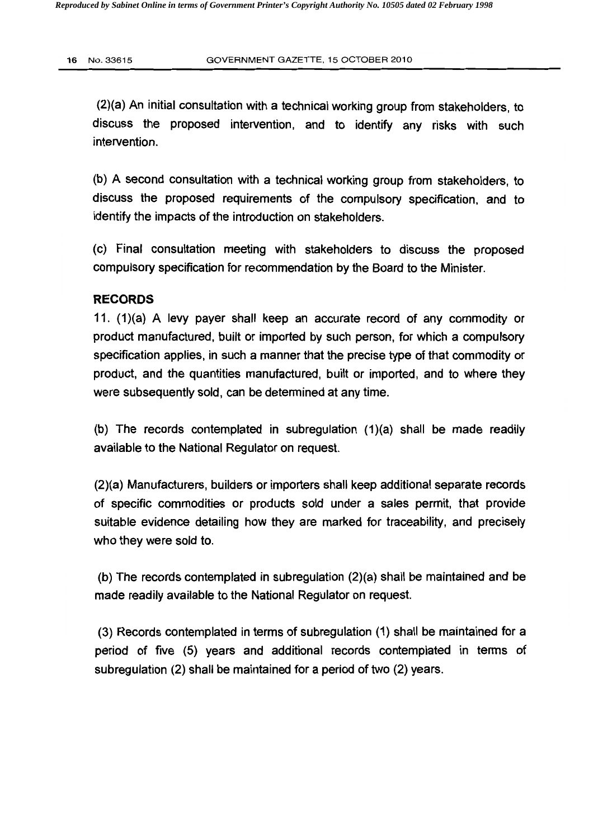(2)(a) An initial consultation with a technical working group from stakeholders, to discuss the proposed intervention, and to identify any risks with such intervention.

(b) A second consultation with a technical working group from stakeholders, to discuss the proposed requirements of the compulsory specification, and to identify the impacts of the introduction on stakeholders.

(c) Final consultation meeting with stakeholders to discuss the proposed compulsory specification for recommendation by the Board to the Minister.

### **RECORDS**

11. (1)(a) A levy payer shall keep an accurate record of any commodity or product manufactured, built or imported by such person, for which a compulsory specification applies, in such a manner that the precise type of that commodity or product, and the quantities manufactured, built or imported, and to where they were subsequently sold, can be determined at any time.

(b) The records contemplated in subregulation (1)(a) shall be made readily available to the National Regulator on request.

(2)(a) Manufacturers, builders or importers shall keep additional separate records of specific commodities or products sold under a sales permit, that provide suitable evidence detailing how they are marked for traceability, and precisely who they were sold to.

(b) The records contemplated in subregulation (2)(a) shall be maintained and be made readily available to the National Regulator on request.

(3) Records contemplated in terms of subregulation (1) shall be maintained for a period of five (5) years and additional records contemplated in terms of subregulation (2) shall be maintained for a period of two (2) years.